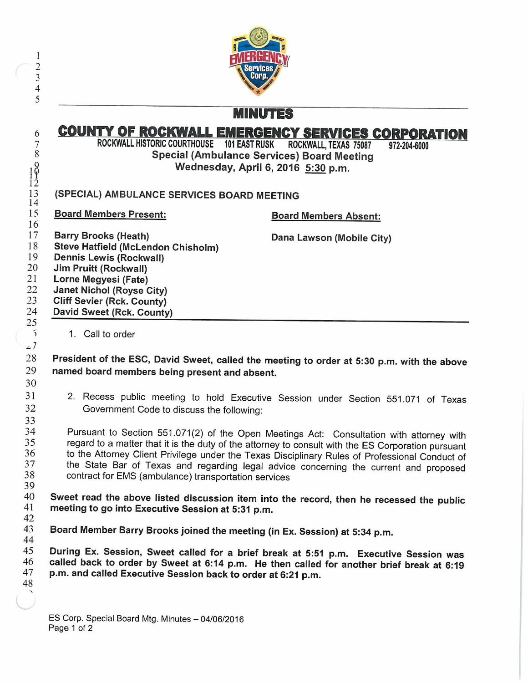|                                                                                                                                                                                                                                                                   | <b>MINUTES</b>                                                                                                                                                      |
|-------------------------------------------------------------------------------------------------------------------------------------------------------------------------------------------------------------------------------------------------------------------|---------------------------------------------------------------------------------------------------------------------------------------------------------------------|
| ROCKWALL HISTORIC COURTHOUSE 101 EAST RUSK ROCKWALL, TEXAS 75087                                                                                                                                                                                                  | <b>COUNTY OF ROCKWALL EMERGENCY SERVICES CORPORATION</b><br>972-204-6000<br><b>Special (Ambulance Services) Board Meeting</b><br>Wednesday, April 6, 2016 5:30 p.m. |
| (SPECIAL) AMBULANCE SERVICES BOARD MEETING                                                                                                                                                                                                                        |                                                                                                                                                                     |
| <b>Board Members Present:</b>                                                                                                                                                                                                                                     | <b>Board Members Absent:</b>                                                                                                                                        |
| <b>Barry Brooks (Heath)</b><br><b>Steve Hatfield (McLendon Chisholm)</b><br>Dennis Lewis (Rockwall)<br><b>Jim Pruitt (Rockwall)</b><br>Lorne Megyesi (Fate)<br><b>Janet Nichol (Royse City)</b><br><b>Cliff Sevier (Rck. County)</b><br>David Sweet (Rck. County) | Dana Lawson (Mobile City)                                                                                                                                           |
| 1. Call to order                                                                                                                                                                                                                                                  |                                                                                                                                                                     |

President of the ESC, David Sweet, called the meeting to order at 5:30 p.m. with the above named board members being present and absent.

2. Recess public meeting to hold Executive Session under Section 551. 071 of Texas Government Code to discuss the following:

Pursuant to Section 551.071(2) of the Open Meetings Act: Consultation with attorney with regard to a matter that it is the duty of the attorney to consult with the ES Corporation pursuant to the Attorney Client Privilege under the Texas Disciplinary Rules of Professional Conduct of the State Bar of Texas and regarding legal advice concerning the current and proposed contract for EMS ( ambulance) transportation services

42 Sweet read the above listed discussion item into the record, then he recessed the public meeting to go into Executive Session at 5:31 p.m.

43 44 Board Member Barry Brooks joined the meeting (in Ex. Session) at 5: 34 p.m.

45 46 47 48 During Ex. Session, Sweet called for a brief break at 5:51 p.m. Executive Session was called back to order by Sweet at 6:14 p.m. He then called for another brief break at 6:19 p.m. and called Executive Session back to order at 6:21 p.m.